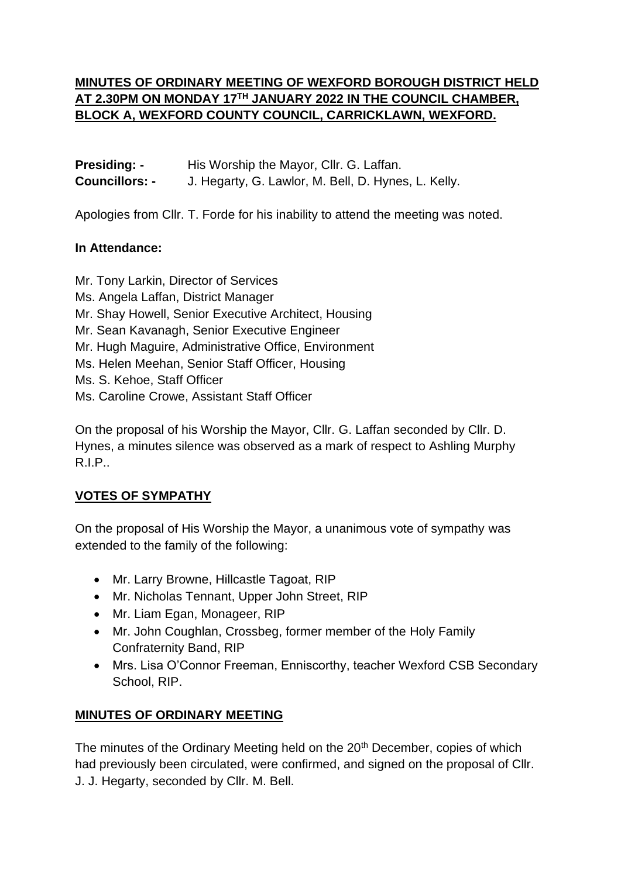# **MINUTES OF ORDINARY MEETING OF WEXFORD BOROUGH DISTRICT HELD AT 2.30PM ON MONDAY 17TH JANUARY 2022 IN THE COUNCIL CHAMBER, BLOCK A, WEXFORD COUNTY COUNCIL, CARRICKLAWN, WEXFORD.**

| <b>Presiding: -</b>   | His Worship the Mayor, Cllr. G. Laffan.             |
|-----------------------|-----------------------------------------------------|
| <b>Councillors: -</b> | J. Hegarty, G. Lawlor, M. Bell, D. Hynes, L. Kelly. |

Apologies from Cllr. T. Forde for his inability to attend the meeting was noted.

#### **In Attendance:**

Mr. Tony Larkin, Director of Services Ms. Angela Laffan, District Manager Mr. Shay Howell, Senior Executive Architect, Housing Mr. Sean Kavanagh, Senior Executive Engineer Mr. Hugh Maguire, Administrative Office, Environment Ms. Helen Meehan, Senior Staff Officer, Housing Ms. S. Kehoe, Staff Officer Ms. Caroline Crowe, Assistant Staff Officer

On the proposal of his Worship the Mayor, Cllr. G. Laffan seconded by Cllr. D. Hynes, a minutes silence was observed as a mark of respect to Ashling Murphy R.I.P..

## **VOTES OF SYMPATHY**

On the proposal of His Worship the Mayor, a unanimous vote of sympathy was extended to the family of the following:

- Mr. Larry Browne, Hillcastle Tagoat, RIP
- Mr. Nicholas Tennant, Upper John Street, RIP
- Mr. Liam Egan, Monageer, RIP
- Mr. John Coughlan, Crossbeg, former member of the Holy Family Confraternity Band, RIP
- Mrs. Lisa O'Connor Freeman, Enniscorthy, teacher Wexford CSB Secondary School, RIP.

## **MINUTES OF ORDINARY MEETING**

The minutes of the Ordinary Meeting held on the 20<sup>th</sup> December, copies of which had previously been circulated, were confirmed, and signed on the proposal of Cllr. J. J. Hegarty, seconded by Cllr. M. Bell.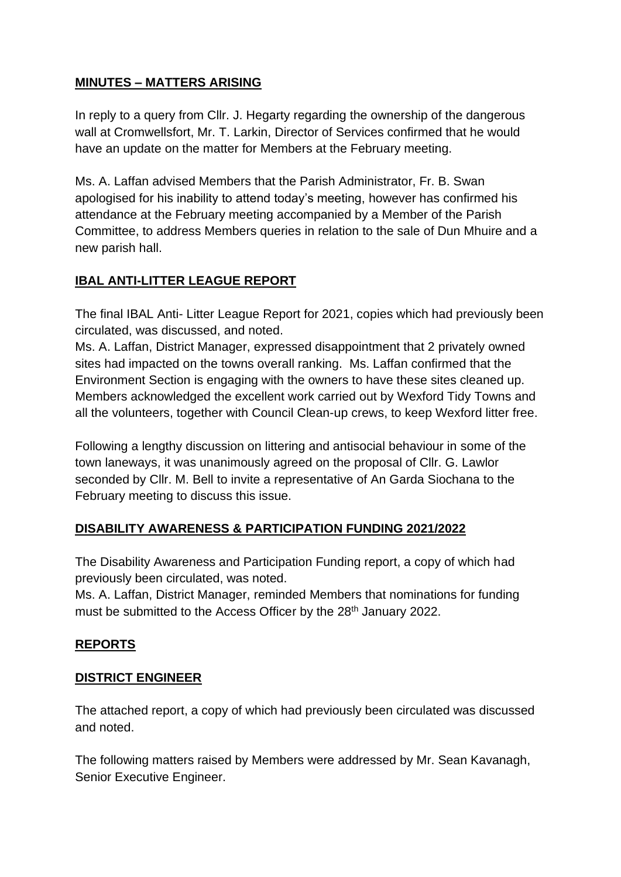## **MINUTES – MATTERS ARISING**

In reply to a query from Cllr. J. Hegarty regarding the ownership of the dangerous wall at Cromwellsfort, Mr. T. Larkin, Director of Services confirmed that he would have an update on the matter for Members at the February meeting.

Ms. A. Laffan advised Members that the Parish Administrator, Fr. B. Swan apologised for his inability to attend today's meeting, however has confirmed his attendance at the February meeting accompanied by a Member of the Parish Committee, to address Members queries in relation to the sale of Dun Mhuire and a new parish hall.

## **IBAL ANTI-LITTER LEAGUE REPORT**

The final IBAL Anti- Litter League Report for 2021, copies which had previously been circulated, was discussed, and noted.

Ms. A. Laffan, District Manager, expressed disappointment that 2 privately owned sites had impacted on the towns overall ranking. Ms. Laffan confirmed that the Environment Section is engaging with the owners to have these sites cleaned up. Members acknowledged the excellent work carried out by Wexford Tidy Towns and all the volunteers, together with Council Clean-up crews, to keep Wexford litter free.

Following a lengthy discussion on littering and antisocial behaviour in some of the town laneways, it was unanimously agreed on the proposal of Cllr. G. Lawlor seconded by Cllr. M. Bell to invite a representative of An Garda Siochana to the February meeting to discuss this issue.

#### **DISABILITY AWARENESS & PARTICIPATION FUNDING 2021/2022**

The Disability Awareness and Participation Funding report, a copy of which had previously been circulated, was noted.

Ms. A. Laffan, District Manager, reminded Members that nominations for funding must be submitted to the Access Officer by the 28<sup>th</sup> January 2022.

#### **REPORTS**

#### **DISTRICT ENGINEER**

The attached report, a copy of which had previously been circulated was discussed and noted.

The following matters raised by Members were addressed by Mr. Sean Kavanagh, Senior Executive Engineer.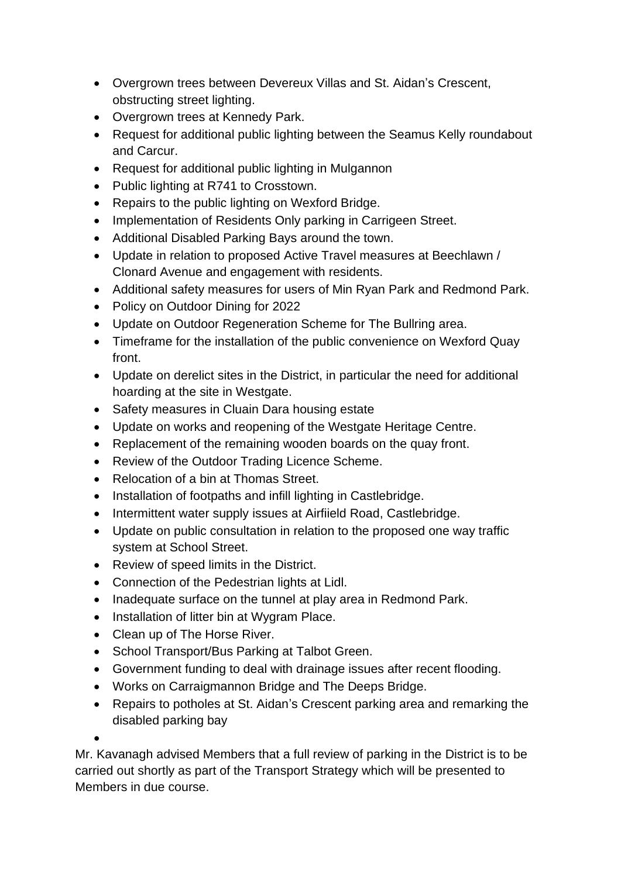- Overgrown trees between Devereux Villas and St. Aidan's Crescent, obstructing street lighting.
- Overgrown trees at Kennedy Park.
- Request for additional public lighting between the Seamus Kelly roundabout and Carcur.
- Request for additional public lighting in Mulgannon
- Public lighting at R741 to Crosstown.
- Repairs to the public lighting on Wexford Bridge.
- Implementation of Residents Only parking in Carrigeen Street.
- Additional Disabled Parking Bays around the town.
- Update in relation to proposed Active Travel measures at Beechlawn / Clonard Avenue and engagement with residents.
- Additional safety measures for users of Min Ryan Park and Redmond Park.
- Policy on Outdoor Dining for 2022
- Update on Outdoor Regeneration Scheme for The Bullring area.
- Timeframe for the installation of the public convenience on Wexford Quay front.
- Update on derelict sites in the District, in particular the need for additional hoarding at the site in Westgate.
- Safety measures in Cluain Dara housing estate
- Update on works and reopening of the Westgate Heritage Centre.
- Replacement of the remaining wooden boards on the quay front.
- Review of the Outdoor Trading Licence Scheme.
- Relocation of a bin at Thomas Street.
- Installation of footpaths and infill lighting in Castlebridge.
- Intermittent water supply issues at Airfiield Road, Castlebridge.
- Update on public consultation in relation to the proposed one way traffic system at School Street.
- Review of speed limits in the District.
- Connection of the Pedestrian lights at Lidl.
- Inadequate surface on the tunnel at play area in Redmond Park.
- Installation of litter bin at Wygram Place.
- Clean up of The Horse River.
- School Transport/Bus Parking at Talbot Green.
- Government funding to deal with drainage issues after recent flooding.
- Works on Carraigmannon Bridge and The Deeps Bridge.
- Repairs to potholes at St. Aidan's Crescent parking area and remarking the disabled parking bay

•

Mr. Kavanagh advised Members that a full review of parking in the District is to be carried out shortly as part of the Transport Strategy which will be presented to Members in due course.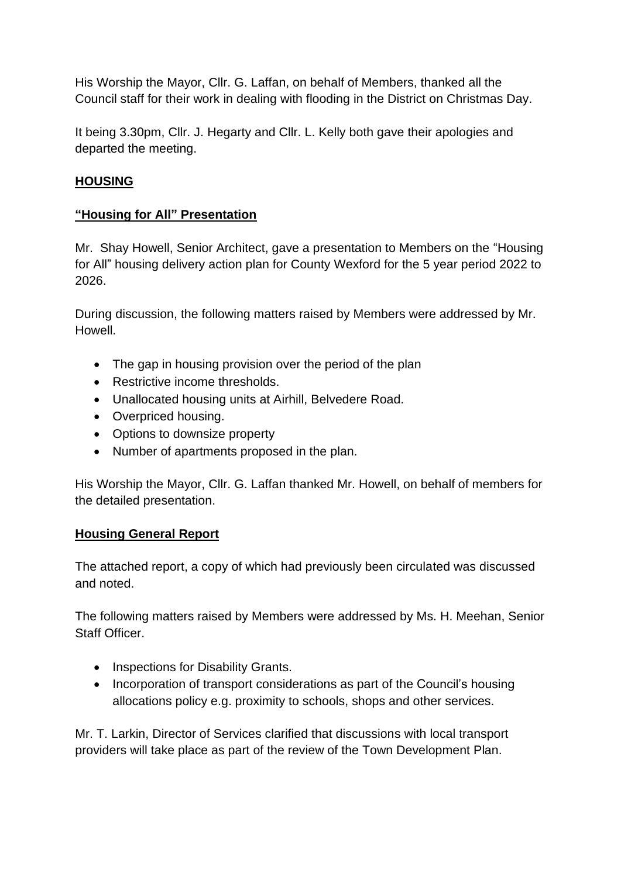His Worship the Mayor, Cllr. G. Laffan, on behalf of Members, thanked all the Council staff for their work in dealing with flooding in the District on Christmas Day.

It being 3.30pm, Cllr. J. Hegarty and Cllr. L. Kelly both gave their apologies and departed the meeting.

## **HOUSING**

#### **"Housing for All" Presentation**

Mr. Shay Howell, Senior Architect, gave a presentation to Members on the "Housing for All" housing delivery action plan for County Wexford for the 5 year period 2022 to 2026.

During discussion, the following matters raised by Members were addressed by Mr. Howell.

- The gap in housing provision over the period of the plan
- Restrictive income thresholds.
- Unallocated housing units at Airhill, Belvedere Road.
- Overpriced housing.
- Options to downsize property
- Number of apartments proposed in the plan.

His Worship the Mayor, Cllr. G. Laffan thanked Mr. Howell, on behalf of members for the detailed presentation.

#### **Housing General Report**

The attached report, a copy of which had previously been circulated was discussed and noted.

The following matters raised by Members were addressed by Ms. H. Meehan, Senior Staff Officer.

- Inspections for Disability Grants.
- Incorporation of transport considerations as part of the Council's housing allocations policy e.g. proximity to schools, shops and other services.

Mr. T. Larkin, Director of Services clarified that discussions with local transport providers will take place as part of the review of the Town Development Plan.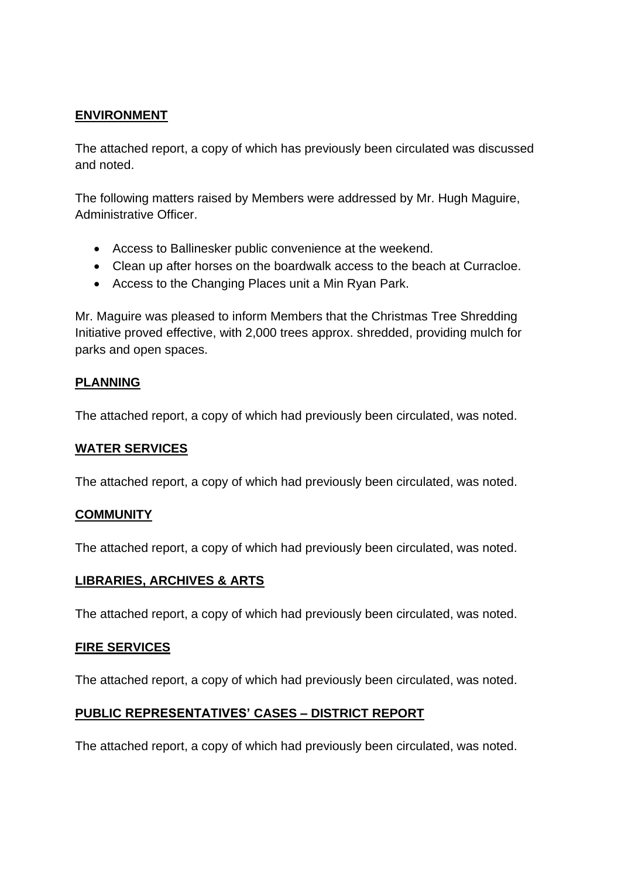#### **ENVIRONMENT**

The attached report, a copy of which has previously been circulated was discussed and noted.

The following matters raised by Members were addressed by Mr. Hugh Maguire, Administrative Officer.

- Access to Ballinesker public convenience at the weekend.
- Clean up after horses on the boardwalk access to the beach at Curracloe.
- Access to the Changing Places unit a Min Ryan Park.

Mr. Maguire was pleased to inform Members that the Christmas Tree Shredding Initiative proved effective, with 2,000 trees approx. shredded, providing mulch for parks and open spaces.

### **PLANNING**

The attached report, a copy of which had previously been circulated, was noted.

#### **WATER SERVICES**

The attached report, a copy of which had previously been circulated, was noted.

#### **COMMUNITY**

The attached report, a copy of which had previously been circulated, was noted.

#### **LIBRARIES, ARCHIVES & ARTS**

The attached report, a copy of which had previously been circulated, was noted.

#### **FIRE SERVICES**

The attached report, a copy of which had previously been circulated, was noted.

#### **PUBLIC REPRESENTATIVES' CASES – DISTRICT REPORT**

The attached report, a copy of which had previously been circulated, was noted.